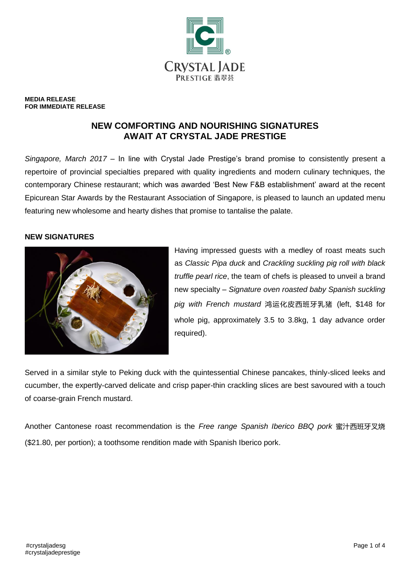

#### **MEDIA RELEASE FOR IMMEDIATE RELEASE**

# **NEW COMFORTING AND NOURISHING SIGNATURES AWAIT AT CRYSTAL JADE PRESTIGE**

*Singapore, March 2017* – In line with Crystal Jade Prestige's brand promise to consistently present a repertoire of provincial specialties prepared with quality ingredients and modern culinary techniques, the contemporary Chinese restaurant; which was awarded 'Best New F&B establishment' award at the recent Epicurean Star Awards by the Restaurant Association of Singapore, is pleased to launch an updated menu featuring new wholesome and hearty dishes that promise to tantalise the palate.

### **NEW SIGNATURES**



Having impressed guests with a medley of roast meats such as *Classic Pipa duck* and *Crackling suckling pig roll with black truffle pearl rice*, the team of chefs is pleased to unveil a brand new specialty – *Signature oven roasted baby Spanish suckling pig with French mustard* 鸿运化皮西班牙乳猪 (left, \$148 for whole pig, approximately 3.5 to 3.8kg, 1 day advance order required).

Served in a similar style to Peking duck with the quintessential Chinese pancakes, thinly-sliced leeks and cucumber, the expertly-carved delicate and crisp paper-thin crackling slices are best savoured with a touch of coarse-grain French mustard.

Another Cantonese roast recommendation is the *Free range Spanish Iberico BBQ pork* 蜜汁西班牙叉烧 (\$21.80, per portion); a toothsome rendition made with Spanish Iberico pork.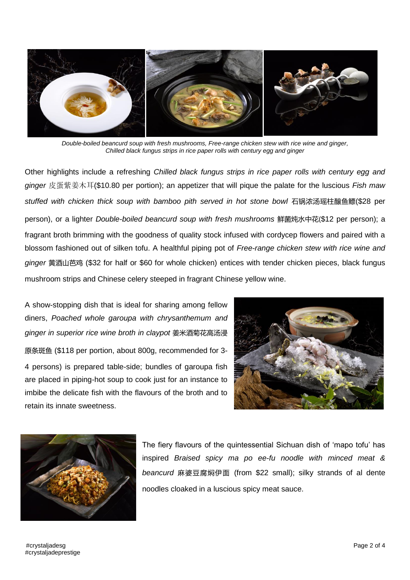

*Double-boiled beancurd soup with fresh mushrooms, Free-range chicken stew with rice wine and ginger, Chilled black fungus strips in rice paper rolls with century egg and ginger*

Other highlights include a refreshing *Chilled black fungus strips in rice paper rolls with century egg and ginger* 皮蛋紫姜木耳(\$10.80 per portion); an appetizer that will pique the palate for the luscious *Fish maw stuffed with chicken thick soup with bamboo pith served in hot stone bowl* 石锅浓汤瑶柱醸鱼鳔(\$28 per person), or a lighter *Double-boiled beancurd soup with fresh mushrooms* 鲜菌炖水中花(\$12 per person); a fragrant broth brimming with the goodness of quality stock infused with cordycep flowers and paired with a blossom fashioned out of silken tofu. A healthful piping pot of *Free-range chicken stew with rice wine and ginger* 黄酒山芭鸡 (\$32 for half or \$60 for whole chicken) entices with tender chicken pieces, black fungus mushroom strips and Chinese celery steeped in fragrant Chinese yellow wine.

A show-stopping dish that is ideal for sharing among fellow diners, *Poached whole garoupa with chrysanthemum and ginger in superior rice wine broth in claypot* 姜米酒菊花高汤浸 原条斑鱼 (\$118 per portion, about 800g, recommended for 3- 4 persons) is prepared table-side; bundles of garoupa fish are placed in piping-hot soup to cook just for an instance to imbibe the delicate fish with the flavours of the broth and to retain its innate sweetness.





The fiery flavours of the quintessential Sichuan dish of 'mapo tofu' has inspired *Braised spicy ma po ee-fu noodle with minced meat & beancurd* 麻婆豆腐焖伊面 (from \$22 small); silky strands of al dente noodles cloaked in a luscious spicy meat sauce.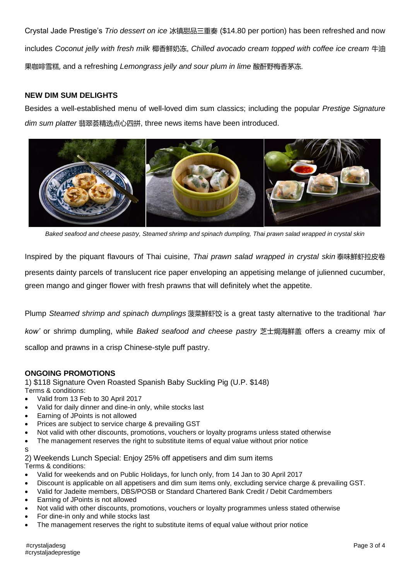Crystal Jade Prestige's *Trio dessert on ice* 冰镇甜品三重奏 (\$14.80 per portion) has been refreshed and now includes *Coconut jelly with fresh milk* 椰香鲜奶冻, *Chilled avocado cream topped with coffee ice cream* 牛油 果咖啡雪糕, and a refreshing *Lemongrass jelly and sour plum in lime* 酸酐野梅香茅冻.

## **NEW DIM SUM DELIGHTS**

Besides a well-established menu of well-loved dim sum classics; including the popular *Prestige Signature dim sum platter* 翡翠荟精选点心四拼, three news items have been introduced.



*Baked seafood and cheese pastry, Steamed shrimp and spinach dumpling, Thai prawn salad wrapped in crystal skin*

Inspired by the piquant flavours of Thai cuisine, *Thai prawn salad wrapped in crystal skin* 泰味鲜虾拉皮卷 presents dainty parcels of translucent rice paper enveloping an appetising melange of julienned cucumber, green mango and ginger flower with fresh prawns that will definitely whet the appetite.

Plump *Steamed shrimp and spinach dumplings* 菠菜鲜虾饺 is a great tasty alternative to the traditional *'har kow'* or shrimp dumpling, while *Baked seafood and cheese pastry* 芝士焗海鲜盖 offers a creamy mix of scallop and prawns in a crisp Chinese-style puff pastry.

### **ONGOING PROMOTIONS**

1) \$118 Signature Oven Roasted Spanish Baby Suckling Pig (U.P. \$148) Terms & conditions:

- Valid from 13 Feb to 30 April 2017
- Valid for daily dinner and dine-in only, while stocks last
- Earning of JPoints is not allowed
- Prices are subject to service charge & prevailing GST
- Not valid with other discounts, promotions, vouchers or loyalty programs unless stated otherwise
- The management reserves the right to substitute items of equal value without prior notice
- s

2) Weekends Lunch Special: Enjoy 25% off appetisers and dim sum items Terms & conditions:

- Valid for weekends and on Public Holidays, for lunch only, from 14 Jan to 30 April 2017
- Discount is applicable on all appetisers and dim sum items only, excluding service charge & prevailing GST.
- Valid for Jadeite members, DBS/POSB or Standard Chartered Bank Credit / Debit Cardmembers
- Earning of JPoints is not allowed
- Not valid with other discounts, promotions, vouchers or loyalty programmes unless stated otherwise
- For dine-in only and while stocks last
- The management reserves the right to substitute items of equal value without prior notice